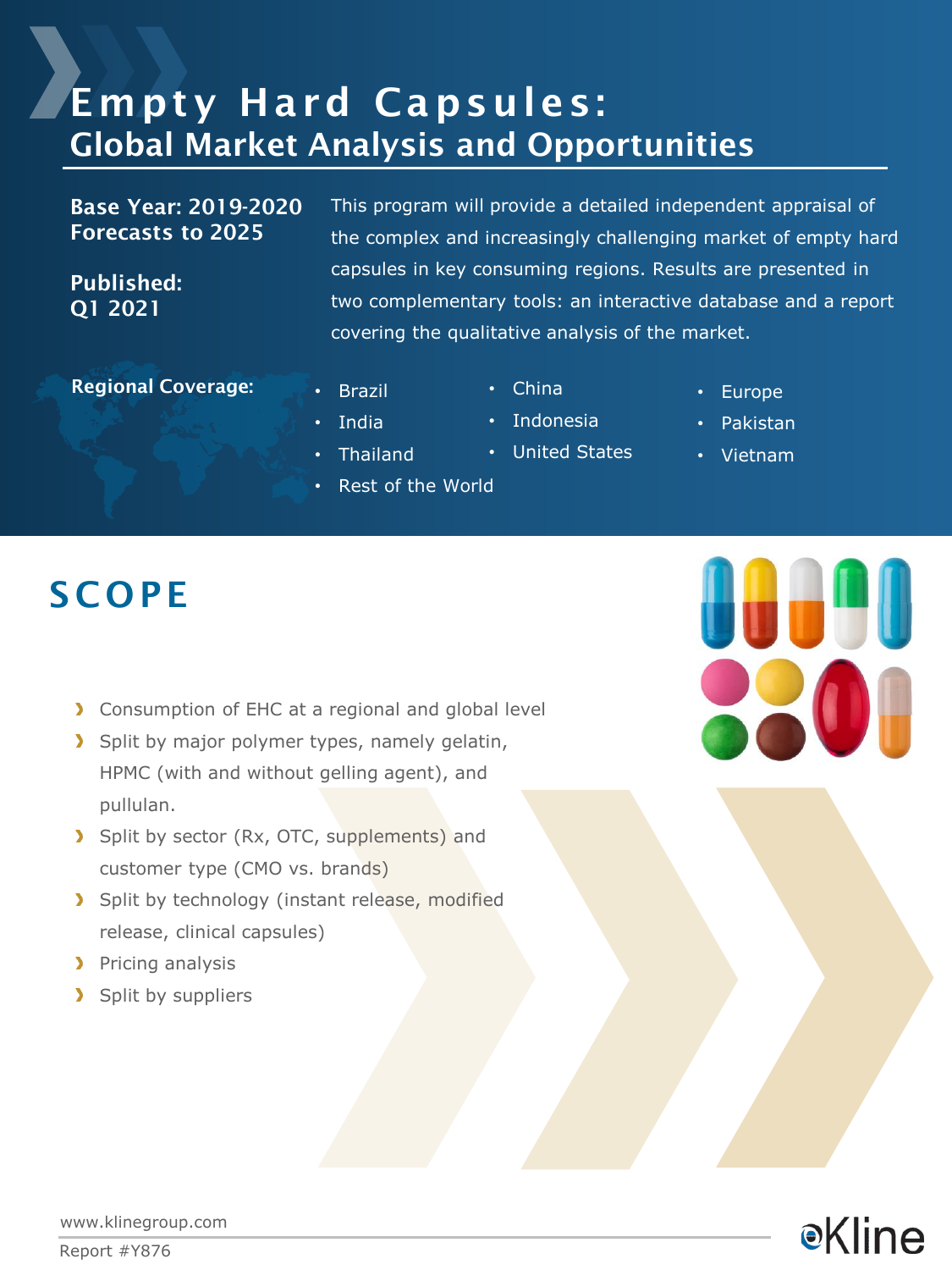# Empty Hard Capsules: Global Market Analysis and Opportunities

Base Year: 2019-2020 Forecasts to 2025

Published: Q1 2021

This program will provide a detailed independent appraisal of the complex and increasingly challenging market of empty hard capsules in key consuming regions. Results are presented in two complementary tools: an interactive database and a report covering the qualitative analysis of the market.

Regional Coverage: **• Brazil** 

• India

• Thailand

• Rest of the World

- China
- Indonesia
- United States
- Europe
- Pakistan
- Vietnam

- **SCOPE** 
	- Consumption of EHC at a regional and global level
	- Split by major polymer types, namely gelatin, HPMC (with and without gelling agent), and pullulan.
	- Split by sector (Rx, OTC, supplements) and customer type (CMO vs. brands)
	- Split by technology (instant release, modified release, clinical capsules)
	- **Pricing analysis**
	- > Split by suppliers



**•Kline** 

www.klinegroup.com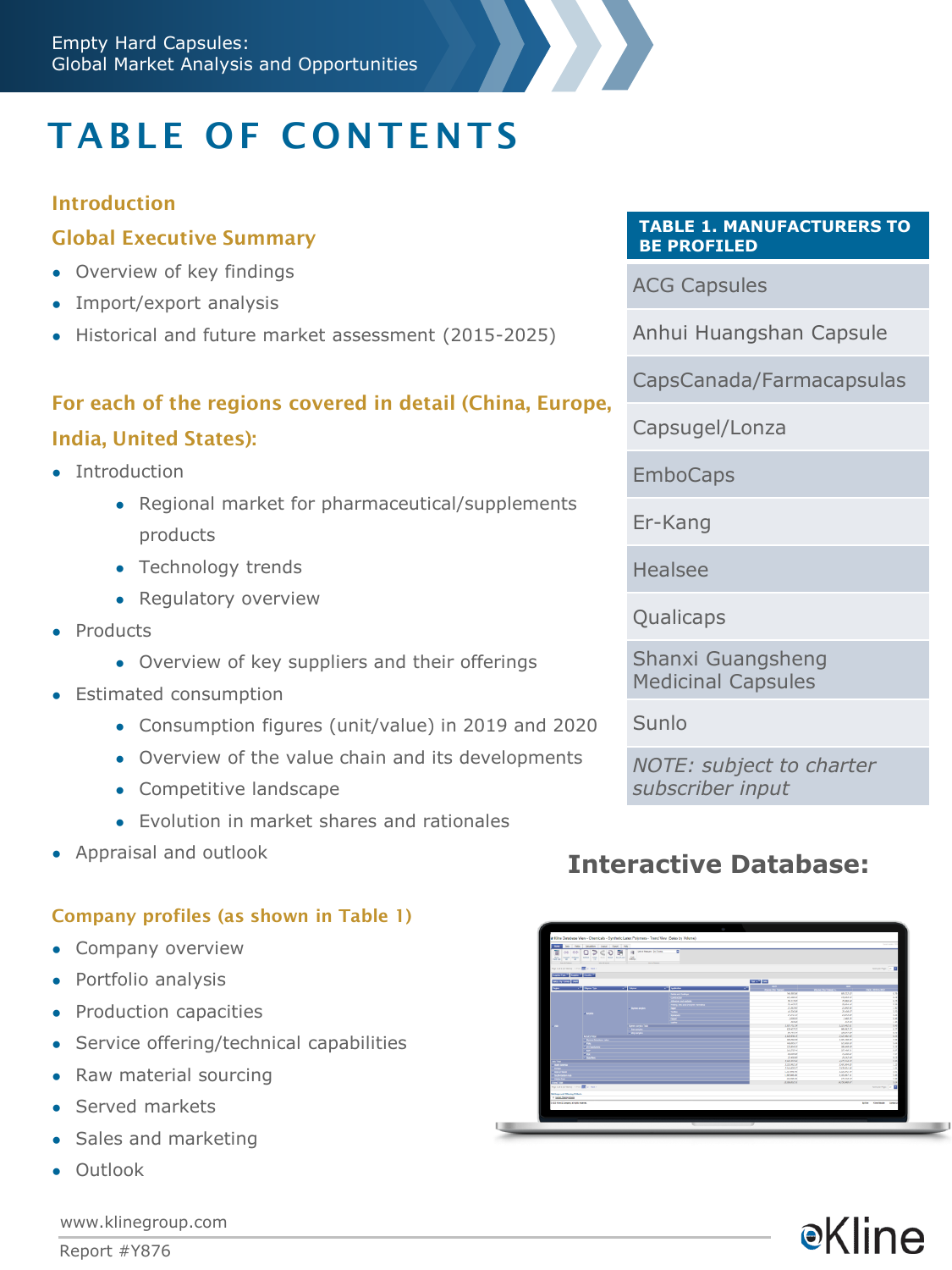# TABLE OF CONTENTS

### **Introduction**

### Global Executive Summary

- Overview of key findings
- Import/export analysis
- Historical and future market assessment (2015-2025)

## For each of the regions covered in detail (China, Europe,

### India, United States):

- Introduction
	- Regional market for pharmaceutical/supplements products
	- Technology trends
	- Regulatory overview
- Products
	- Overview of key suppliers and their offerings
- Estimated consumption
	- Consumption figures (unit/value) in 2019 and 2020

- Overview of the value chain and its developments
- Competitive landscape
- Evolution in market shares and rationales
- Appraisal and outlook

### Company profiles (as shown in Table 1)

- Company overview
- Portfolio analysis
- Production capacities
- Service offering/technical capabilities
- Raw material sourcing
- Served markets
- Sales and marketing
- Outlook

#### **TABLE 1. MANUFACTURERS TO BE PROFILED**

ACG Capsules

Anhui Huangshan Capsule

CapsCanada/Farmacapsulas

Capsugel/Lonza

**EmboCaps** 

Er-Kang

Healsee

Qualicaps

Shanxi Guangsheng Medicinal Capsules

Sunlo

*NOTE: subject to charter subscriber input*

## **Interactive Database:**

| 픦<br>co loo<br>THE EGAN                                            | D < 0<br>the entry state and the control and series and<br><b>WILLIAM</b> | Sile Palls Catalon Liquid Deal Hill<br>脼<br><b>B</b> Deathway (c) laws<br><b><i>SECTIONS</i></b> | т                             |                                     |                           |                                                 |
|--------------------------------------------------------------------|---------------------------------------------------------------------------|--------------------------------------------------------------------------------------------------|-------------------------------|-------------------------------------|---------------------------|-------------------------------------------------|
| had start and site. III it may                                     |                                                                           |                                                                                                  |                               |                                     |                           | Service Page: 18 1                              |
| <b>Street with Director Counsel</b>                                |                                                                           |                                                                                                  |                               |                                     |                           |                                                 |
| <b>Collabora</b> (20)                                              |                                                                           |                                                                                                  |                               | <b>COMPANY</b>                      |                           |                                                 |
| <b>Sigur - - - - - Name Spr</b>                                    |                                                                           | <b>Call Street</b>                                                                               | <b>Call Andrew</b>            |                                     |                           |                                                 |
|                                                                    |                                                                           |                                                                                                  |                               | THE RIFLAY                          | are system                | <b>CAR MAN BY</b><br>1/4                        |
|                                                                    |                                                                           |                                                                                                  | <b>Ann as intro-</b>          | 43.36.0                             | <b>HARLE</b>              | 6.19                                            |
|                                                                    |                                                                           |                                                                                                  | Almin at minh                 | 36,523,87                           | <b>ISBN N</b>             | $\overline{122}$                                |
|                                                                    |                                                                           | - Benne archit                                                                                   | <b>Nadig Steam Chargest 1</b> | 20003.27                            | <b>SURLEY</b>             | <b>CM</b>                                       |
|                                                                    | <b>CANADI</b>                                                             |                                                                                                  |                               | 0.8285                              | <b>MARIN</b>              | 180                                             |
|                                                                    |                                                                           |                                                                                                  |                               | $08.536$ AM                         | <b>ZEASAR</b>             | TH.                                             |
|                                                                    |                                                                           |                                                                                                  |                               | <b>DEATH AP</b>                     | <b>JEASTAN</b>            | <b>AM</b>                                       |
|                                                                    |                                                                           |                                                                                                  |                               | 2,000.00                            | 246.8                     | 646                                             |
|                                                                    |                                                                           |                                                                                                  |                               | <b>JEMP</b>                         | $22.8^{\circ}$            | 1.30                                            |
| -                                                                  |                                                                           | <b>Tores and a Tale</b>                                                                          |                               | <b>LEST PLATE</b>                   | <b>MARINE</b>             | 8.46                                            |
|                                                                    |                                                                           | <b>CARL AND THE</b>                                                                              |                               | 636 477 AT                          | 092 867 717               | 6.17                                            |
|                                                                    | <b>A MOTORS</b>                                                           |                                                                                                  |                               | 86,957,24                           | 280,047,097               | an'                                             |
|                                                                    | <b>Distances</b>                                                          |                                                                                                  |                               | <b><i>HERMAN AT</i></b>             | 2,00 44.07                | 6.13                                            |
|                                                                    |                                                                           |                                                                                                  |                               | <b>MAZIN AV</b><br><b>AVEAUC</b> 27 | LOS MAIN<br><b>COMMO</b>  | 229<br>Les <sup>1</sup>                         |
|                                                                    |                                                                           |                                                                                                  |                               | <b>ATLANT</b>                       | <b>AND AND AV</b>         | 8.89                                            |
|                                                                    |                                                                           |                                                                                                  |                               | 2012/5.00                           | 20140676                  | <b>W</b>                                        |
|                                                                    | <b>CONTRACTOR</b>                                                         |                                                                                                  |                               | <b>JANAJE</b>                       | 22,300.00                 | 7.87                                            |
|                                                                    | <b>U Continue</b>                                                         |                                                                                                  |                               | <b>IS ON MY</b>                     | <b>BRAN</b>               | 812                                             |
|                                                                    |                                                                           |                                                                                                  |                               | 280,028                             | 4477,544.07               | 120                                             |
|                                                                    |                                                                           |                                                                                                  |                               | 3.85.867.07                         | <b>LOLARAN</b>            | 1.17                                            |
|                                                                    |                                                                           |                                                                                                  |                               | 24443647                            | <b>Zalik Alu Jai</b>      | i.es                                            |
|                                                                    |                                                                           |                                                                                                  |                               | LISTING 40                          | LISLM #                   | 281                                             |
|                                                                    |                                                                           |                                                                                                  |                               | $+305,306,406$                      | $+30.624$                 | 64                                              |
|                                                                    |                                                                           |                                                                                                  |                               | 43,56.31                            | <b>ATLEMAT</b>            | 10 <sup>2</sup>                                 |
| --                                                                 |                                                                           |                                                                                                  |                               | ATLANTATO AV                        | <b><i>FALTIMA ART</i></b> | <b>TEM</b>                                      |
| <b>ROCERTIST RING - THE INT E. MAIL-</b>                           |                                                                           |                                                                                                  |                               |                                     |                           | $\blacksquare$<br><b>Root job Pater</b>         |
| <b>Bellings and Filleshay Criteria</b><br><sup>0</sup> SOASTAD ARE |                                                                           |                                                                                                  |                               |                                     |                           |                                                 |
|                                                                    | <b>A little film &amp; Company of Huttle months</b>                       |                                                                                                  |                               |                                     |                           | <b>Butler Historical</b><br><b>Substitution</b> |